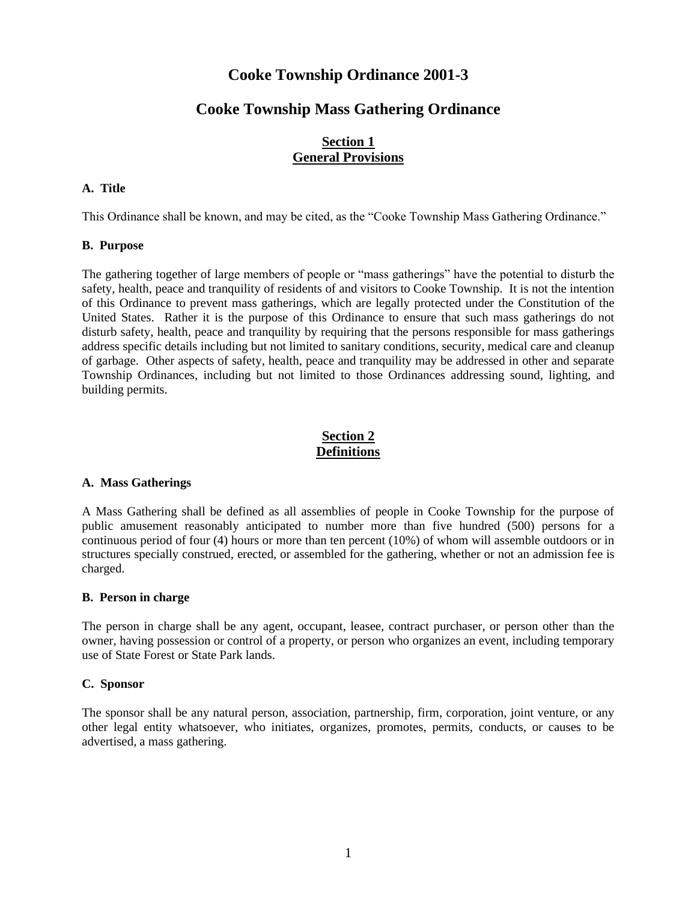# **Cooke Township Ordinance 2001-3**

# **Cooke Township Mass Gathering Ordinance**

# **Section 1 General Provisions**

# **A. Title**

This Ordinance shall be known, and may be cited, as the "Cooke Township Mass Gathering Ordinance."

## **B. Purpose**

The gathering together of large members of people or "mass gatherings" have the potential to disturb the safety, health, peace and tranquility of residents of and visitors to Cooke Township. It is not the intention of this Ordinance to prevent mass gatherings, which are legally protected under the Constitution of the United States. Rather it is the purpose of this Ordinance to ensure that such mass gatherings do not disturb safety, health, peace and tranquility by requiring that the persons responsible for mass gatherings address specific details including but not limited to sanitary conditions, security, medical care and cleanup of garbage. Other aspects of safety, health, peace and tranquility may be addressed in other and separate Township Ordinances, including but not limited to those Ordinances addressing sound, lighting, and building permits.

# **Section 2 Definitions**

## **A. Mass Gatherings**

A Mass Gathering shall be defined as all assemblies of people in Cooke Township for the purpose of public amusement reasonably anticipated to number more than five hundred (500) persons for a continuous period of four (4) hours or more than ten percent (10%) of whom will assemble outdoors or in structures specially construed, erected, or assembled for the gathering, whether or not an admission fee is charged.

## **B. Person in charge**

The person in charge shall be any agent, occupant, leasee, contract purchaser, or person other than the owner, having possession or control of a property, or person who organizes an event, including temporary use of State Forest or State Park lands.

## **C. Sponsor**

The sponsor shall be any natural person, association, partnership, firm, corporation, joint venture, or any other legal entity whatsoever, who initiates, organizes, promotes, permits, conducts, or causes to be advertised, a mass gathering.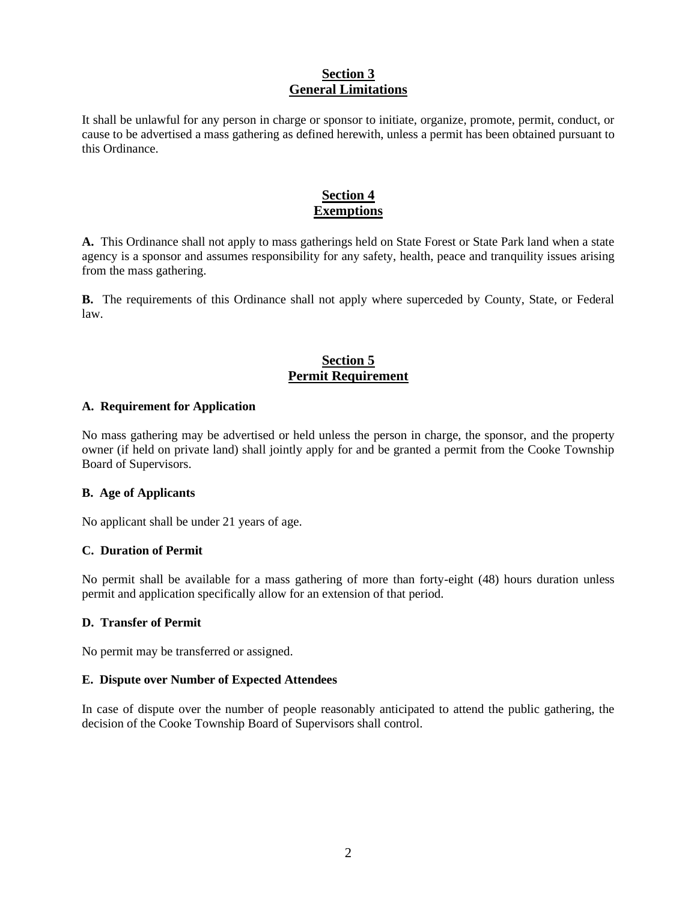# **Section 3 General Limitations**

It shall be unlawful for any person in charge or sponsor to initiate, organize, promote, permit, conduct, or cause to be advertised a mass gathering as defined herewith, unless a permit has been obtained pursuant to this Ordinance.

# **Section 4 Exemptions**

**A.** This Ordinance shall not apply to mass gatherings held on State Forest or State Park land when a state agency is a sponsor and assumes responsibility for any safety, health, peace and tranquility issues arising from the mass gathering.

**B.** The requirements of this Ordinance shall not apply where superceded by County, State, or Federal law.

# **Section 5 Permit Requirement**

## **A. Requirement for Application**

No mass gathering may be advertised or held unless the person in charge, the sponsor, and the property owner (if held on private land) shall jointly apply for and be granted a permit from the Cooke Township Board of Supervisors.

## **B. Age of Applicants**

No applicant shall be under 21 years of age.

## **C. Duration of Permit**

No permit shall be available for a mass gathering of more than forty-eight (48) hours duration unless permit and application specifically allow for an extension of that period.

## **D. Transfer of Permit**

No permit may be transferred or assigned.

#### **E. Dispute over Number of Expected Attendees**

In case of dispute over the number of people reasonably anticipated to attend the public gathering, the decision of the Cooke Township Board of Supervisors shall control.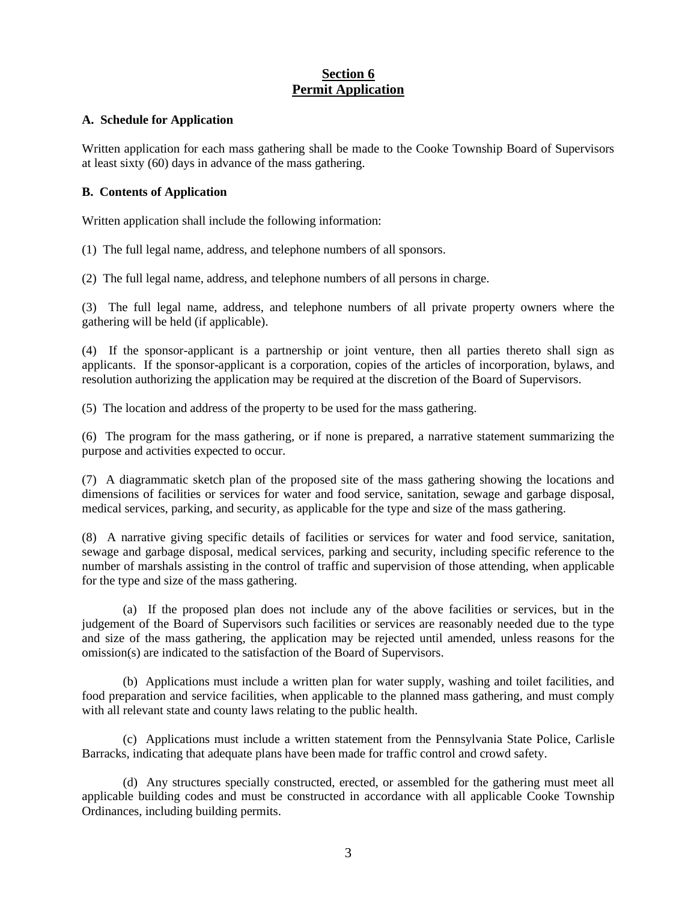# **Section 6 Permit Application**

#### **A. Schedule for Application**

Written application for each mass gathering shall be made to the Cooke Township Board of Supervisors at least sixty (60) days in advance of the mass gathering.

#### **B. Contents of Application**

Written application shall include the following information:

(1) The full legal name, address, and telephone numbers of all sponsors.

(2) The full legal name, address, and telephone numbers of all persons in charge.

(3) The full legal name, address, and telephone numbers of all private property owners where the gathering will be held (if applicable).

(4) If the sponsor-applicant is a partnership or joint venture, then all parties thereto shall sign as applicants. If the sponsor-applicant is a corporation, copies of the articles of incorporation, bylaws, and resolution authorizing the application may be required at the discretion of the Board of Supervisors.

(5) The location and address of the property to be used for the mass gathering.

(6) The program for the mass gathering, or if none is prepared, a narrative statement summarizing the purpose and activities expected to occur.

(7) A diagrammatic sketch plan of the proposed site of the mass gathering showing the locations and dimensions of facilities or services for water and food service, sanitation, sewage and garbage disposal, medical services, parking, and security, as applicable for the type and size of the mass gathering.

(8) A narrative giving specific details of facilities or services for water and food service, sanitation, sewage and garbage disposal, medical services, parking and security, including specific reference to the number of marshals assisting in the control of traffic and supervision of those attending, when applicable for the type and size of the mass gathering.

(a) If the proposed plan does not include any of the above facilities or services, but in the judgement of the Board of Supervisors such facilities or services are reasonably needed due to the type and size of the mass gathering, the application may be rejected until amended, unless reasons for the omission(s) are indicated to the satisfaction of the Board of Supervisors.

(b) Applications must include a written plan for water supply, washing and toilet facilities, and food preparation and service facilities, when applicable to the planned mass gathering, and must comply with all relevant state and county laws relating to the public health.

(c) Applications must include a written statement from the Pennsylvania State Police, Carlisle Barracks, indicating that adequate plans have been made for traffic control and crowd safety.

(d) Any structures specially constructed, erected, or assembled for the gathering must meet all applicable building codes and must be constructed in accordance with all applicable Cooke Township Ordinances, including building permits.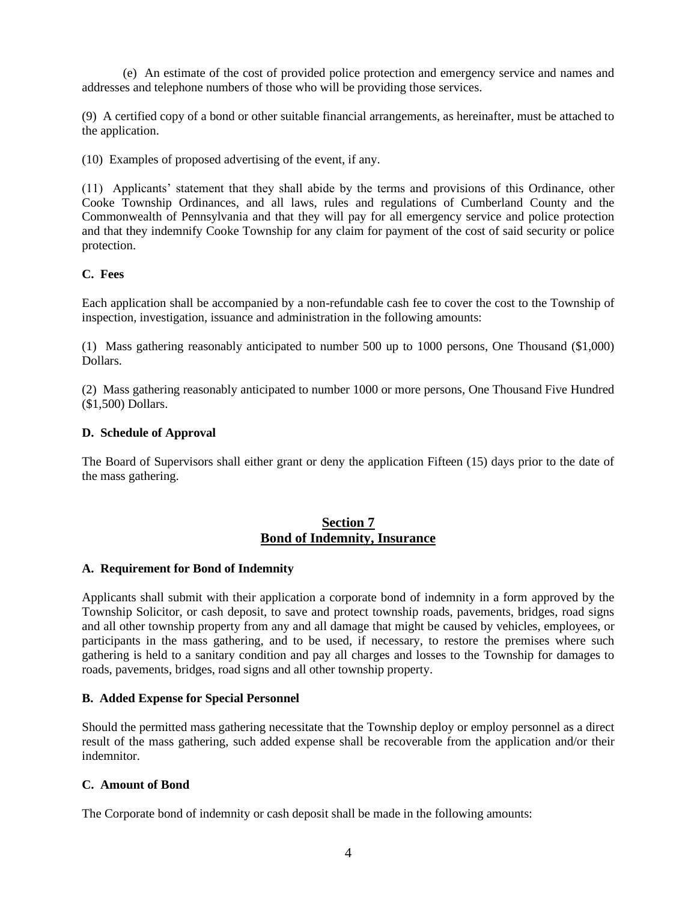(e) An estimate of the cost of provided police protection and emergency service and names and addresses and telephone numbers of those who will be providing those services.

(9) A certified copy of a bond or other suitable financial arrangements, as hereinafter, must be attached to the application.

(10) Examples of proposed advertising of the event, if any.

(11) Applicants' statement that they shall abide by the terms and provisions of this Ordinance, other Cooke Township Ordinances, and all laws, rules and regulations of Cumberland County and the Commonwealth of Pennsylvania and that they will pay for all emergency service and police protection and that they indemnify Cooke Township for any claim for payment of the cost of said security or police protection.

## **C. Fees**

Each application shall be accompanied by a non-refundable cash fee to cover the cost to the Township of inspection, investigation, issuance and administration in the following amounts:

(1) Mass gathering reasonably anticipated to number 500 up to 1000 persons, One Thousand (\$1,000) Dollars.

(2) Mass gathering reasonably anticipated to number 1000 or more persons, One Thousand Five Hundred (\$1,500) Dollars.

## **D. Schedule of Approval**

The Board of Supervisors shall either grant or deny the application Fifteen (15) days prior to the date of the mass gathering.

# **Section 7 Bond of Indemnity, Insurance**

## **A. Requirement for Bond of Indemnity**

Applicants shall submit with their application a corporate bond of indemnity in a form approved by the Township Solicitor, or cash deposit, to save and protect township roads, pavements, bridges, road signs and all other township property from any and all damage that might be caused by vehicles, employees, or participants in the mass gathering, and to be used, if necessary, to restore the premises where such gathering is held to a sanitary condition and pay all charges and losses to the Township for damages to roads, pavements, bridges, road signs and all other township property.

## **B. Added Expense for Special Personnel**

Should the permitted mass gathering necessitate that the Township deploy or employ personnel as a direct result of the mass gathering, such added expense shall be recoverable from the application and/or their indemnitor.

# **C. Amount of Bond**

The Corporate bond of indemnity or cash deposit shall be made in the following amounts: